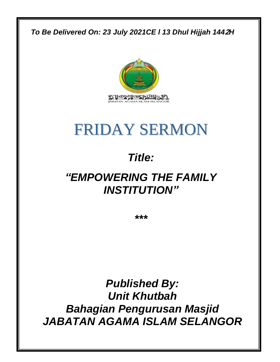### *To Be Delivered On: 23 July 2021CE l 13 Dhul Hijjah 144***2***H*



# FRIDAY SERMON

## *Title:*

## *"EMPOWERING THE FAMILY INSTITUTION"*

*\*\*\**

*Published By: Unit Khutbah Bahagian Pengurusan Masjid JABATAN AGAMA ISLAM SELANGOR*

0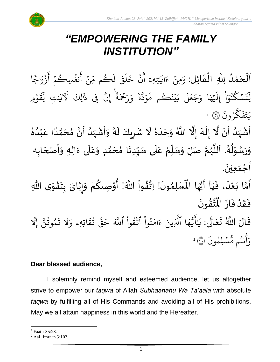## *"EMPOWERING THE FAMILY INSTITUTION"*

 $\frac{1}{2}$ ن<br>ا اَلْحَمْدُ لِلَّهِ الْقَائِل: وَمِنْ ءَايَتِهِۦٓ أَنْ خَلَقَ لَكُم مِّنْ أَنفُسِكُمْ أَزْوَاجَا ُ<br>ُ' ់<br>ត  $\overline{\phantom{a}}$ ֦֧֦֧֦֧֦֧֦֧֦֧֦֧֧֦֧֧֦֧֦֧֦֧֦֧֦֧֦֧֝֝֝֟֓֓֜֓֟֓֜֓֟֓֟֓֓֟֓֟֓֟֓֟֓<br>**֧**  $\overline{\phantom{a}}$  $\frac{1}{2}$ ْ زَوْر  $\ddot{\cdot}$ ِ<br>ج أ  $\frac{1}{2}$ نفُسِكُمْ ر و<br>م ِ<br>ج أ <u>្</u> ِن ں<br>س ڪم مِّ ر ر<br>1 ل  $\ddot{\phantom{0}}$ ق ِ<br>ا  $\uparrow$  $\tilde{\mathbf{z}}$ خ ن <u>ء</u> ِ<br>ج أ ٓ تِهِۦ َٰ ِ اي ्<br>c ء ِمن ؚ<br>ٛ ِ<br>م و وُمِ  $\frac{1}{2}$  $\ddot{\tilde{}}$ ِق ں<br>1 تِ لِـ َٰ ِ .<br>ذَالِكَ لَآلاَيْـ َٰ ِِف ذ ىر<br>پ إِن  $\ddot{\tilde{}}$ ة ر<br>ح ِحۡحَ ِ ر ِ<br>ہ و ֦֓<br>֝֟֝֓֕׆֥  $\frac{1}{2}$ ىر<br>م ڏ ِ<br>م و ىد<br>ح ِ<br>يَنَكُم مَّ ر ؚ<br>ۣ  $\tilde{\cdot}$ ب ِ<br>آ ل ر<br>• بر<br>ج  $\overline{\phantom{a}}$ ج ِ<br>م ا و ِ<br>م ه  $\overline{\phantom{a}}$ .<br>1 إِلَيْهِ ْ ا ر<br>م يَ<sub>شَ</sub>ڭْنُو ُو ر ِت ں<br>1 ل .<br>` ون ر و<br>, ِسَ<br>س ك  $\ddot{\cdot}$ ف  $\ddot{\cdot}$ ت ِرِ يَتَفَكَّرُونَ ۞ لَ ؚ<br>• ر<br>أَشْهَدُ أَنْ لَّا إِلَهَ إِلَّا اللَّهُ وَحْدَهُ لَا شَرِيكَ لَهُ وَأَشْهَدُ أَنَّ مُحَمَّدًا عَبْدُهُ ِ<br>پ  $\frac{1}{2}$  $\frac{1}{2}$ ؚ<br>ۣ<br>ؙ ं<br>न ं<br>∲ ં<br>ત  $\tilde{\cdot}$  $\frac{1}{2}$ ِ<br>الح ፟<br>፞  $\frac{1}{1}$  $\tilde{\cdot}$  $\mathbf{r}$ ِ<br>ٌ ِ<br>ُا ֦֧<sup>֚</sup> ِ<br>م ً<br>ا ั<br>ั ๋<br>ጎ  $\frac{1}{2}$  $\ddot{\phantom{0}}$ ِ<br>ا  $\frac{1}{2}$ ْ  $\ddot{\phantom{0}}$  $\tilde{\cdot}$ ا<br>ا ।<br>∲ <u>ر</u>  $\mathbf{r}$ وَرَسُوْلُهُ. اَللَّهُمَّ صَلِّ وَسَلِّمْ عَلَى سَيِّدِنَا مُحَمَّدٍ وَعَلَى ءَالِهِ وَأَصْحَابِه  $\overline{\phantom{a}}$  $\ddot{\phantom{0}}$  $\tilde{\cdot}$  $\ddot{\cdot}$ ً<br>آ ِّ<br>م  $\tilde{\cdot}$ <u>لم</u> ั<br>ั  $\frac{1}{2}$ ا<br>-<br>• ِّ  $\ddot{\tilde{r}}$ ً<br>آ ِّ<br>م ِّ  $\frac{1}{2}$  $\tilde{\cdot}$ ั้ ر<br>ر<br>ر ہ<br>ا َ ر<br>ر ُ ֦֧֦֧֦֧<u>֦</u> ر<br>ر<br>ر  $\frac{1}{2}$  $\tilde{\cdot}$  $\ddot{\phantom{0}}$ أَجْمَعِيْنَ. ْ  $\frac{1}{\alpha}$  $\frac{1}{2}$ ֦֧֦֧֦֧֦֧֦֧֦֧֦֧֦֧֦֧֦֧֦֧֦֧֦֧<br>**֧** لْمُسْلِمُونَ! اِتَّقُواْ اللَّهَ! أُوْ ِ<br>من ٝ<br>أ **ٍ** ل<br>•<br>•  $\ddot{\phantom{0}}$ ๋<br>Å أَمَّا بَعْدُ، فَيَا اَيُّهَا الْمُسْلِمُونَ! اِتَّقُواْ اللَّهَ! أُوْصِيكُمْ وَإِيَّايَ بِتَقْوَى اللَّهِ ِ<br>پاس<br>مرد ر<br>و<br>•  $\ddot{\phantom{0}}$  $\frac{1}{1}$  $\ddot{\cdot}$ ِ<br>ا ំ<br>•  $\ddot{\cdot}$ ์<br>วั  $\frac{1}{2}$  $\ddot{\phantom{0}}$ ໍ່<br>**ີ**  $\ddot{\phantom{0}}$ **ؚ** َ  $\frac{1}{2}$  $\tilde{\cdot}$ ر<br>مخ .  $\ddot{\phantom{0}}$ ؾڤۏڹؘ  $\frac{1}{2}$ ِ<br>دَر ہ<br>ا فَقَدْ فَازَ الْمُ  $\ddot{\cdot}$  $\ddot{\cdot}$ ْ  $\frac{1}{2}$  $\ddot{\cdot}$ قَالَ اللَّهُ تَعَالَى: يَ ً<br>الم َ  $\ddot{\phantom{0}}$  $\ddot{\mathbf{r}}$ َٰ ي ِرِ اتِهِۦ و  $\ddot{\mathbf{z}}$ ق ت و<br>په ىر<br>بە قٌ  $\overline{\phantom{a}}$ ح ِ<br>آک قُوا أَللَّهَ <u>ہ</u> ور ِ<br>په نُوا اڌّ <u>ہ</u> ُ ِ<br>م ام ر<br>ہ ِ<br>لَّذِينَ ءَ ا الَّذِ ِ<br>م ه و<br>د ءَ<br>ڊ ِ<br>ج أَيُّهَا ٱلَّذِينَ ءَامَنُواْ ٱتَّقُواْ ٱللَّهَ حَقَّ تُقَاتِهِۦ وَلَا تَمُوتُنَّ إِ ِ<br>ا مُوتَنَّ ور و  $\ddot{\cdot}$ تَمُوتُنَّ إِلَّا ر<br>الج  $\ddot{\cdot}$ ر<br>مَّسۡلِمُونَ و نتُم مَّ و<br>به ِ<br>ج أ ِ<br>ہ وَأَنْتُم مُّسۡلِمُونَ ۞ ۚ

### **Dear blessed audience,**

I solemnly remind myself and esteemed audience, let us altogether strive to empower our *taqwa* of Allah *Subhaanahu Wa Ta'aala* with absolute *taqwa* by fulfilling all of His Commands and avoiding all of His prohibitions. May we all attain happiness in this world and the Hereafter.

<sup>&</sup>lt;sup>1</sup> Faatir 35:28.

<sup>2</sup> Aal 'Imraan 3:102.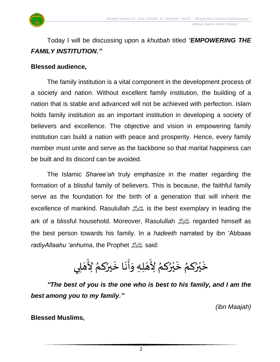

Today I will be discussing upon a *khutbah* titled *"EMPOWERING THE FAMILY INSTITUTION."*

### **Blessed audience,**

The family institution is a vital component in the development process of a society and nation. Without excellent family institution, the building of a nation that is stable and advanced will not be achieved with perfection. Islam holds family institution as an important institution in developing a society of believers and excellence. The objective and vision in empowering family institution can build a nation with peace and prosperity. Hence, every family member must unite and serve as the backbone so that marital happiness can be built and its discord can be avoided.

The Islamic *Sharee'ah* truly emphasize in the matter regarding the formation of a blissful family of believers. This is because, the faithful family serve as the foundation for the birth of a generation that will inherit the excellence of mankind. Rasulullah صلى الله عليه وسلم is the best exemplary in leading the ark of a blissful household. Moreover, Rasulullah صلى الله عليه وسلم regarded himself as the best person towards his family. In a *hadeeth* narrated by ibn 'Abbaas *radiyAllaahu 'anhuma*, the Prophet صلى الله عليه وسلمsaid:

### ِ<br>ع خَيْرُكمُ خَيْرُكمُ لِأَهَلِهِ وَأَنَا خَيرُكمُ لِأَهَلِي  $\frac{1}{2}$ بو<br>♦ ْ ه<br>به  $\ddot{\phantom{0}}$ ُ  $\frac{1}{2}$ ់<br>រ ي  $\ddot{\phantom{0}}$  $\ddot{\phantom{0}}$ ِ<br>ع  $\frac{1}{2}$ ُ<br>ُ◆  $\ddot{\phantom{0}}$ ِ<br>اب  $\frac{1}{2}$  $\tilde{\cdot}$  $\overline{\phantom{a}}$

*"The best of you is the one who is best to his family, and I am the best among you to my family."*

*(ibn Maajah)*

**Blessed Muslims,**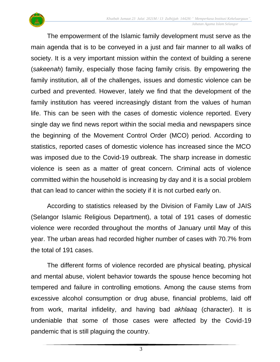

The empowerment of the Islamic family development must serve as the main agenda that is to be conveyed in a just and fair manner to all walks of society. It is a very important mission within the context of building a serene (*sakeenah*) family, especially those facing family crisis. By empowering the family institution, all of the challenges, issues and domestic violence can be curbed and prevented. However, lately we find that the development of the family institution has veered increasingly distant from the values of human life. This can be seen with the cases of domestic violence reported. Every single day we find news report within the social media and newspapers since the beginning of the Movement Control Order (MCO) period. According to statistics, reported cases of domestic violence has increased since the MCO was imposed due to the Covid-19 outbreak. The sharp increase in domestic violence is seen as a matter of great concern. Criminal acts of violence committed within the household is increasing by day and it is a social problem that can lead to cancer within the society if it is not curbed early on.

According to statistics released by the Division of Family Law of JAIS (Selangor Islamic Religious Department), a total of 191 cases of domestic violence were recorded throughout the months of January until May of this year. The urban areas had recorded higher number of cases with 70.7% from the total of 191 cases.

The different forms of violence recorded are physical beating, physical and mental abuse, violent behavior towards the spouse hence becoming hot tempered and failure in controlling emotions. Among the cause stems from excessive alcohol consumption or drug abuse, financial problems, laid off from work, marital infidelity, and having bad *akhlaaq* (character). It is undeniable that some of those cases were affected by the Covid-19 pandemic that is still plaguing the country.

3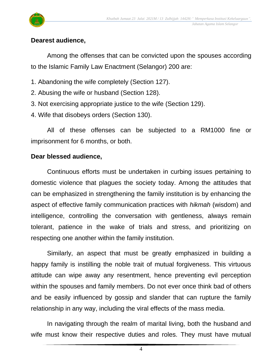

### **Dearest audience,**

Among the offenses that can be convicted upon the spouses according to the Islamic Family Law Enactment (Selangor) 200 are:

- 1. Abandoning the wife completely (Section 127).
- 2. Abusing the wife or husband (Section 128).
- 3. Not exercising appropriate justice to the wife (Section 129).
- 4. Wife that disobeys orders (Section 130).

All of these offenses can be subjected to a RM1000 fine or imprisonment for 6 months, or both.

### **Dear blessed audience,**

Continuous efforts must be undertaken in curbing issues pertaining to domestic violence that plagues the society today. Among the attitudes that can be emphasized in strengthening the family institution is by enhancing the aspect of effective family communication practices with *hikmah* (wisdom) and intelligence, controlling the conversation with gentleness, always remain tolerant, patience in the wake of trials and stress, and prioritizing on respecting one another within the family institution.

Similarly, an aspect that must be greatly emphasized in building a happy family is instilling the noble trait of mutual forgiveness. This virtuous attitude can wipe away any resentment, hence preventing evil perception within the spouses and family members. Do not ever once think bad of others and be easily influenced by gossip and slander that can rupture the family relationship in any way, including the viral effects of the mass media.

In navigating through the realm of marital living, both the husband and wife must know their respective duties and roles. They must have mutual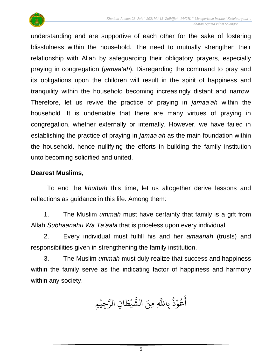

understanding and are supportive of each other for the sake of fostering blissfulness within the household. The need to mutually strengthen their relationship with Allah by safeguarding their obligatory prayers, especially praying in congregation (*jamaa'ah*). Disregarding the command to pray and its obligations upon the children will result in the spirit of happiness and tranquility within the household becoming increasingly distant and narrow. Therefore, let us revive the practice of praying in *jamaa'ah* within the household. It is undeniable that there are many virtues of praying in congregation, whether externally or internally. However, we have failed in establishing the practice of praying in *jamaa'ah* as the main foundation within the household, hence nullifying the efforts in building the family institution unto becoming solidified and united.

### **Dearest Muslims,**

To end the *khutbah* this time, let us altogether derive lessons and reflections as guidance in this life. Among them:

1. The Muslim *ummah* must have certainty that family is a gift from Allah *Subhaanahu Wa Ta'aala* that is priceless upon every individual.

2. Every individual must fulfill his and her *amaanah* (trusts) and responsibilities given in strengthening the family institution.

3. The Muslim *ummah* must duly realize that success and happiness within the family serve as the indicating factor of happiness and harmony within any society.

ُجِيْمِ ْ ِ<br>سَ ِن الر ا  $\frac{1}{2}$ ط ي ْ بر<br>پو لَّهِ مِنَ الشَّ عُوْذُ بِاللَّهِ و<br>ڊ ْ و<br>م ِ<br>ج أ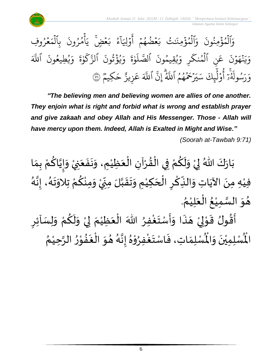

مُرُوفِ و<br>,  $\frac{1}{2}$ ر<br>م بِالْمَ ہ<br>ا .<br>` أمُرُونَ و<br>, و<br>م ہ<br>ء  $\tilde{\cdot}$ مُضٍ <sub>يَ</sub>  $\frac{1}{2}$ ِرِ ء<br>عرب و<br>ء ر<br>آ ا َِلَ و  $\frac{1}{2}$ ِ<br>ج أ  $\ddot{\phantom{0}}$ مُضُهُمْ و و<br>و  $\frac{1}{2}$ ِرِ ب َٰت َ و<br>مو الْمُؤْمِنَٰ ہ<br>ء و ہ<br>ا ِ<br>م و .<br>\* ِالْمُؤْمِنُونَ ُ ہ<br>ء و ہ<br>ا ِ<br>م و ہ<br>آک اللَّهَ .<br>\* يُطِيعُونَ و<br>م و<br>د ِ<br>م و ្ត ة و ે અને પ્રાપ્ય વિક્રમ અને પ્રાપ્ય વિક્રમ અને પ્રાપ્ય વિક્રમ અને પ્રાપ્ય વિક્રમ અને પ્રાપ્ય વિક્રમ અને પ્રાપ્ય વ ر<br>سم  $\mathsf{S}_{\cdot}$ ىر<br>بە ٱلز .<br>` يُؤَثّونَ وړ ہ<br>ء و<br>د  $\frac{1}{\alpha}$ و ្ត ة و َٰ ِ<br>ا  $\uparrow$ ىر<br>م الصَّ .<br>` يْقِيمُونَ و و<br>د  $\frac{1}{\alpha}$ ِ و ر ر<br>م نِ المُنكَ و ہ<br>1 ِ<br>م ع .<br>\* ن و  $\frac{1}{2}$ ِ<br>م ه ن  $\ddot{\cdot}$ ِرِ ر<br>به ِ<br>م و **ّ**ّ ا<br>~ ~<br>و بر<br>مح ِ<br>ا ِسُولُهُ ُو ِرِ .<br><u>ر</u> ِ<br>ہ و وو<br>م كِيمٌ<br>- $\overline{\phantom{a}}$ ح ِهِ زِيزٌ ِ<br>م ع ِ<br>آک اَللَّهَ ِیرَ<br>• إِن ِ<br>يەق<br>الم رَحَمُهُمُ ٱللَّهُ و و ِ<br>يِلِكَ سَـ ِ<br>الم أَوْلَيْكَ سَيَرْحَمُهُمُ اللَّهُ إِنَّ اللَّهَ عَزِيزٌ حَكِيمٌ ۞ ْ بِ و<br>ع

*"The believing men and believing women are allies of one another. They enjoin what is right and forbid what is wrong and establish prayer and give zakaah and obey Allah and His Messenger. Those - Allah will have mercy upon them. Indeed, Allah is Exalted in Might and Wise."*

*(Soorah at-Tawbah 9:71)*

ْ بَارَكَ اللّهُ لِيْ وَلَكُمْ فِي الْقُرْآنِ الْعَظِيْمِ، وَنَفَعَنِيْ وَإِيَّاكُمْ بِمَا َ  $\ddot{\phantom{0}}$  $\ddot{\phantom{0}}$  $\tilde{\cdot}$ ់<br>រ َ ֦֧֦֧֦֦֦֧֦֧֦֧֦֧֦֧֦֧֦֧֦֧֦֧֦֝֝֟֓֓֓֟֓֟֓֓֟֓֟֓֟֓֟֓֟֓֟֓֟֓֟֓֟֓֟֓֟֓֟֓֟֓֕֟֓֕֓֟֓֟֓֟֓֟֓֝֬֟֓֟֓֟֓֝֬֟֓֟֓֟֓֝֟ ْ  $\frac{1}{2}$ ْ ْ <u>ل</u>  $\tilde{\cdot}$  $\frac{1}{2}$ ْ  $\ddot{\phantom{0}}$  $\frac{1}{2}$  $\frac{1}{2}$ ៝<br><del>៹</del> <u>ل</u> ل<br>ا<br>ا  $\frac{1}{2}$  $\tilde{\cdot}$ فيْهِ مِنَ الآيَاتِ وَالنِّكْرِ الْحَكِيْمِ وَتَقَبَّلَ مِنِّيْ وَمِنْكُمْ تِلاَوَتَهُ، إِنَّهُ ់<br>រ  $\overline{\phantom{a}}$ ِّ <u>ر</u> ْ  $\ddot{\cdot}$ َ<br>م ِ<br>پُ  $\ddot{\phantom{0}}$ ំ<br>រ ر<br>م َ<br>پ<br>• ।<br>-<br>-ر<br>گ  $\ddot{\phantom{0}}$  $\ddot{\ }$ ّ<br>م ِ<br>م ْ  $\ddot{\ }$ **ٔ** '<br>∪<br>∙  $\sum$ ن<br>ا  $\frac{1}{2}$  $\ddot{\phantom{0}}$  $\tilde{\cdot}$ . ُ هُوَ السَّمِيْعُ الْعَلِيْمُ ْ َ ْ ُ ٝ<br>ؙ ن<br>س  $\ddot{\ }$  $\frac{1}{2}$ ِ<br>م  $\tilde{\cdot}$ ֦֧֦֧֦֧֦֧֦֧֦֧֦֧֦֧֧֧֧֧֦֧֧֧֝֝֝֟֓֓֟֓֟֓֟֓֟֓֟֓֟֓֟֓֟֓֟֓֟֓֟֓֟֓֟֓֟֓֟֓֟֓֟֓֟֓֟֓֟֓֝֟֓֝֟֓֟֓֝֬֟֓֟֓֝֟֓֟֓֝֟֓֝֟  $\frac{1}{2}$  $\frac{1}{2}$  $\ddot{\cdot}$  $\frac{1}{2}$ ं<br>नृ

ِ أَقُولُ قَوْلِيْ هَذَا وَأَسْتَغْفِرُ اللّٰهَ الْعَظِيْمَ لِيْ وَلَكُمْ وَلِسَاْئِرِ  $\tilde{\cdot}$ ْ  $\tilde{\cdot}$ ْ إ  $\frac{1}{\epsilon}$ ٝ<br>ؙ  $\ddot{\phantom{0}}$ ៝<br>៵ ْ  $\frac{1}{2}$  $\frac{1}{2}$  $\overline{\phantom{a}}$ ْ إ י<br>י ُ ري<br>لْمُسْلِمَاتِ، فَاسْتَغْفِرُوْهُ إِنَّهُ هُوَ الْغَفُوْرُ الرَّحِيْمُ ٝ<br>ؙ ہ<br>م ِ<br>پ ْ **••**<br>•••  $\ddot{\phantom{0}}$ ֚֘<br>֧֧֚֚֚֚֚֚֚֚֚֚֚֚֚֚֚֚֚֚֚֚֝֝֓֓֓֓֟֓֟֓֟֓֟֓֟֓֝֬֝֓֓֝  $\ddot{\ }$  $\frac{1}{2}$ د<br>گر  $\frac{1}{2}$ ।<br>-<br>-ِ<br>پ ֧֧֦֧֦ ِ<br>پ ا<br>،<br>.  $\frac{1}{2}$  $\frac{1}{2}$  $\frac{1}{2}$ رت<br>لْمُسْلِمِيْنَ وَالْمُ  $\ddot{\ }$  $\ddot{\phantom{0}}$ ْ اْل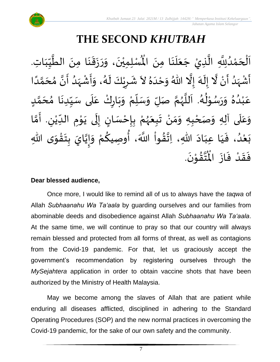

## **THE SECOND** *KHUTBAH*

ِ<br>لِّمُسْلِمِيْنَ، وَرَزَقَنَا مِنَ الطَّيِّبَاتِ  $\frac{1}{1}$  $\frac{1}{2}$  $\frac{1}{2}$ ہ<br>م  $\ddot{\phantom{0}}$  $\ddot{\phantom{0}}$  $\frac{1}{2}$  $\ddot{\phantom{0}}$  $\frac{1}{2}$  $\ddot{\ }$  $\ddot{\phantom{0}}$ ْ اَلْحَمْدُلِلَّهِ الَّذِيْ جَعَلَنَا مِنَ الْمُسْلِمِيْنَ، وَرَزَقَنَا مِنَ الطَّيِّبَاتِ.  $\ddot{\phantom{0}}$  $\ddot{\phantom{0}}$ ِ<br>ا  $\ddot{\phantom{0}}$  $\overline{\phantom{a}}$ ل<br>ا ن<br>• ِ<br>ُ' ់<br>ត  $\overline{\phantom{a}}$ ֦֧֦֧֦֧֝<u>֚</u>  $\overline{\phantom{a}}$ ें<br>र أَشْهَدُ أَنْ لَّا إِلَهَ إِلَّا اللّهُ وَحْدَهُ لاَ شَرِيْكَ لَهُ، وَأَشْهَدُ أَنَّ مُحَمَّدًا ْ  $\ddot{\mathbf{z}}$ <sup>ب</sup><br>ا ر<br>زا ؚ<br>ۣ<br>ؙ  $\sum_{i=1}^{n}$ َ ં<br>ત  $\tilde{\cdot}$ ।<br>-<br>- $\ddot{\phantom{0}}$ ٍ<br>په  $\overline{\phantom{a}}$  $\tilde{\cdot}$ ً<br>ا ี้<br>ส َ  $\frac{1}{2}$ َ ا<br>: ِ<br>ُ  $\frac{1}{2}$ ْ  $\frac{1}{2}$  $\frac{1}{2}$ د<br>گ  $\tilde{\mathbf{r}}$ ّٰ<br>ٰ <u>ر</u> ैं: ِّ  $\overline{r}$ عَبْدُهُ وَرَسُوْلُهُ. اَللَّهُمَّ صَلِّ وَسَلِّمْ وَبَارِكْ عَلَى سَيِّدِنَا مُحَمَّدٍ  $\tilde{\phantom{a}}$ َ ر<br>ر<br>ر ֧֦֝<br>֧֓֕֓֕֓֓֓֓֓֟׆֕ م<br>آ ر<br>پر ء<br>م⊀ י<br>י ر<br>م  $\frac{1}{2}$  $\tilde{\cdot}$ <sub>ይ</sub><br>▲ .<br>د ْ ِ<br>م <u>لم</u> ั<br>ด  $\overline{\phantom{a}}$ ๋<br>ጎ  $\ddot{\phantom{0}}$ ِّ  $\frac{1}{2}$ ے<br>آ  $\frac{1}{2}$ ّ<br>وُ  $\ddot{\phantom{0}}$ ر<br>م ْ وَعَلَى آلِهِ وَصَحْبِهِ وَمَنْ تَبِعَهُمْ بِإِحْسَانٍ إِلَى يَوْمِ الدِّيْنِ. أَمَّا  $\overline{\phantom{a}}$ ์  $\tilde{\cdot}$ ั<br>ว َ ِ ٝ<br>ؙ  $\frac{1}{1}$ **→** י<br>י  $\ddot{\phantom{0}}$  $\ddot{\phantom{0}}$ ل ।<br>-<br>-)<br>=<br>= ْ **ؚ** ْ ر<br>ر<br>ر َ  $\ddot{\phantom{0}}$ ْ ์ $\frac{1}{2}$  $\ddot{\phantom{0}}$ ْ ى ِهللا و ق ت ب ايَ ي إ و م وِصيك ، أ َّللا ََ وا ق ِهللا، ِات اد ِعب ا ي ، ف د ع ب  $\ddot{\ }$ ֦֧֦֧<u>֦</u>  $\frac{1}{2}$ **ؚ** ن<br>•  $\frac{1}{2}$  $\ddot{\ }$ ْ ا<br>م<br>م ُ<br>پیدائشہ ز<br>ا  $\frac{1}{2}$  $\frac{1}{2}$  $\sim$  $\frac{1}{1}$  $\frac{1}{1}$  $\frac{1}{2}$ ُ<br>ُ' ْ  $\ddot{\phantom{0}}$ .  $\ddot{\phantom{0}}$ تقۇنَ י<br>י  $\frac{1}{2}$ ِ<br>ئىق<br>ج  $\frac{1}{\sqrt{2}}$ فَقَدْ فَازَ الْمُ  $\ddot{\phantom{0}}$  $\ddot{\cdot}$ ْ  $\frac{1}{2}$  $\frac{1}{2}$ 

### **Dear blessed audience,**

Once more, I would like to remind all of us to always have the *taqwa* of Allah *Subhaanahu Wa Ta'aala* by guarding ourselves and our families from abominable deeds and disobedience against Allah *Subhaanahu Wa Ta'aala*. At the same time, we will continue to pray so that our country will always remain blessed and protected from all forms of threat, as well as contagions from the Covid-19 pandemic. For that, let us graciously accept the government's recommendation by registering ourselves through the *MySejahtera* application in order to obtain vaccine shots that have been authorized by the Ministry of Health Malaysia.

May we become among the slaves of Allah that are patient while enduring all diseases afflicted, disciplined in adhering to the Standard Operating Procedures (SOP) and the new normal practices in overcoming the Covid-19 pandemic, for the sake of our own safety and the community.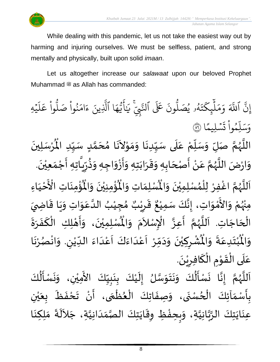

While dealing with this pandemic, let us not take the easiest way out by harming and injuring ourselves. We must be selfless, patient, and strong mentally and physically, built upon solid *imaan*.

Let us altogether increase our *salawaat* upon our beloved Prophet Muhammad  $\equiv$  as Allah has commanded:

ِ<br>م ه و<br>ما يَ<br>ب ِ<br>ع  $\overline{\mathcal{L}}$ َٰ ِ<br>بر سِّي آيا<br>تَّبِي آيا نَ عَلَى ٱلنَّ ون و<br>ا و<br>٩و يُصَلُّ و<br>د و<br>لم  $\ddot{\cdot}$ ت ر<br>م ِك ئ بر<br>ا  $\mu$ ِ<br>م بر<br>م  $\frac{1}{\alpha}$ و ِ<br>آک اللَّهَ ِ<br>په إِنَّ اللَّهَ وَمَلْبِكَتَهُو يُصَلُّونَ عَلَى النَّبِيِّ يَايُّهَا الَّذِينَ ءَامَنُوا صَلُّوا عَلَيْهِ ؚ<br>ۣ ر<br>آ  $\mu$ ِ<br>م ع وا ْ و<br>ا بُواْ صَلَّ ْ ُو ِ<br>م ام ्<br>द ء ِينَ یہ<br>۱ ا الَّذِ ا  $\frac{2}{3}$ ن*َسْ*لِيمَّ  $\ddot{\phantom{0}}$  $\ddot{\cdot}$ ت ْ وا ِم و<br>م ں<br>ا ل ِ<br>س وَسَلِّمُواْ تَسْلِيمًا (َ ُ  $\ddot{\phantom{0}}$ ِ<br>رُسَلِينَ ْ  $\ddot{\hat{}}$ اللَّهُمَّ صَلِّ وَسَلِّمْ عَلَى سَيِّدِنَا وَمَوْلاَنَا مُحَمَّدٍ سَيِّدِ الْمُ ِّ  $\frac{1}{2}$ <u>لم</u> ั<br>ด  $\overline{\phantom{a}}$  $\frac{1}{2}$  $\overline{\phantom{a}}$  $\tilde{\phantom{a}}$ י<br>י  $\frac{1}{2}$  $\ddot{\phantom{0}}$  $\ddot{\phantom{0}}$ ِّ  $\frac{1}{1}$  $\frac{1}{2}$ ៝<br>៖ ِّ  $\frac{1}{2}$  $\ddot{\phantom{0}}$ َ ر<br>ر<br>ر ر<br>ا ़<br>-<br>• وَارْضَ اللَّهُمَّ عَنْ أَصْحَابِهِ وَقَرَابَتِهِ وَأَزْوَاجِهِ وَذُرِّيَّاتِهِ أَجْمَعِيْنَ. ْ  $\frac{1}{2}$ ֦֧֦֧֦֧<u>֦</u> -<br>:<br>: ં<br>ਹ ِّ ِر ء<br>پيد  $\ddot{\ }$  $\frac{1}{2}$ ْ -<br>:<br>:  $\ddot{\ }$  $\overline{\phantom{a}}$  $\frac{1}{2}$  $\frac{1}{2}$ ์ $\overline{\phantom{a}}$  $\overline{\phantom{a}}$ ֝׀<br>ֺ֧֧֪֪֚֝֜֞֓֝֝֝ ْ  $\frac{1}{2}$ ี<br>ั ر<br>ر<br>ر ِ<br>آ  $\frac{1}{2}$ ؙۊؙ۠ڡؚنَاتِ  $\ddot{\phantom{0}}$ ់<br>:  $\frac{1}{\sqrt{2}}$ ُؤْمِنِيْنَ وَالْمُ  $\frac{1}{2}$  $\ddot{\phantom{0}}$ ْ ់<br>:  $\mathbf{r}^{\circ}$ ِ<br>لْمُسْلِمَاتِ وَالْمُ  $\frac{1}{2}$  $\frac{1}{2}$ اَللَّهُمَّ اغْفِرْ لِلْمُسْلِمِيْنَ وَالْمُسْلِمَاتِ وَالْمُؤْمِنِيْنَ وَالْمُؤْمِنَاتِ الْأَخْيَاءِ  $\frac{1}{2}$  $\ddot{\phantom{0}}$ ْ ๋<br>ለ ْ ْ ี<br>จั ر<br>ر<br>ر ہ<br>ا  $\overline{\phantom{a}}$  $\frac{1}{1}$ ْ َ<br>مَ عَ<br>مَ عَ الْأَ ْ مِنْهُمْ وَالأَمْوَاتِ، إِنَّكَ سَمِيْعٌ قَرِيْبٌ مُجِيْبُ الدَّعَوَاتِ وَيَا قَاضِيَ ُ<br>رو<br>مر ْ  $\ddot{\ }$ י<br>י ا<br>ع  $\ddot{\phantom{0}}$  $\frac{1}{2}$  $\ddot{\mathbf{r}}$  $\ddot{\phantom{0}}$  $\tilde{\cdot}$  $\frac{1}{2}$ ِ<br>م ہ<br>1 ُ ់<br>រ  $\frac{1}{\lambda}$ ه<br>**د ا** ي ر ق <u>ر</u>  $\frac{1}{2}$  $\frac{1}{2}$ ءِ<br>، إِنَّكَ سَمِيْعٌ ់<br>រ ्<br>इ ।<br>-<br>-تِهُم رَّ تَبَيَّبُ عَمَّدٍ.<br>الْحَاجَاتِ. اَللَّهُمَّ أَعِزَّ الْإِسْلاَمَ وَالْمُسْلِمِيْنَ، وَأَ  $\overline{\phantom{a}}$ ۔<br>ا ر<br>ب  $\tilde{\cdot}$  $\ddot{\phantom{0}}$ ْ ِ<br>اَللَّهُمَّ أَعِزَّ الْإِسْلاَمَ وَالْمُسْلِمِيْنَ، وَأَهْلِكِ الْكَفَرَةَ  $\ddot{\ }$ .<br>د ्<br>र .<br>ا  $\frac{1}{2}$ ا<br>با ั้ ر<br>ر<br>ر ر<br>ق ا<br>أ  $\mathbf{I}^*$  $\frac{1}{2}$  $\ddot{\phantom{0}}$ َ ْ י<br>**י** ُشْرِكِيْنَ وَدَمِّرْ اَعْدَاءَكَ اَعْدَاءَ اللِّيْنِ. وَانْصُرْنَا ر<br>.<br>. ْ  $\frac{1}{2}$ ْ  $\tilde{\cdot}$ ِ ْ ِّ  $\frac{1}{2}$ ا<br>ا<br>ا .<br>م  $\frac{1}{2}$ ً<br>وُ  $\frac{1}{2}$  $\frac{1}{1}$ ر<br>م  $\overline{\phantom{a}}$ ֦֧֦֧֦֧<br>֧  $\frac{1}{2}$  $\sim$  $\tilde{\cdot}$ ر<br>•<br>• ْ <u>ر</u> ْ  $\ddot{\text{h}}$ ُبْتَدِعَةً وَالْمُ  $\frac{1}{2}$  $\ddot{\cdot}$ ِ<br>م  $\frac{1}{2}$ ْ<br>ْ  $\ddot{\text{h}}$ اْل و  $\frac{1}{2}$ .  $\frac{1}{2}$ عَلَى الْقَوْمِ الْكَافِرِيْنَ ْ <u>ر</u> .<br>م ֝֝֝֝֝֝֝֝֝<br>֝**֝ →** י<br>י ا<br>المحمد<br>الجوا ّٰ<br>ا  $\frac{1}{1}$ ِ<br>م ِ<br>نَسْـأَلُكَ ُ<br>ا  $\frac{1}{2}$  $\ddot{\phantom{0}}$  $\tilde{\cdot}$ ِ<br>اَللَّهُمَّ إِنَّا نَسْأَلُكَ وَنَتَوَسَّلُ إِلَيْكَ بِنَبِيِّكَ الأَمِيْنِ، وَا ْ َ<br>ج ِّ  $\ddot{\phantom{0}}$ ់<br>រ  $\tilde{\mathbf{r}}$ ن<br>سا<br>سا  $\ddot{\ }$  $\ddot{\phantom{0}}$  $\ddot{\phantom{0}}$  $\tilde{\cdot}$ ُ<br>پار ً<br>با<br>:  $\ddot{\phantom{0}}$  $\frac{1}{2}$ ี<br>จ ر<br>ر<br>ر ہ<br>ا  $\overline{\phantom{a}}$ 

 $\frac{1}{2}$  $\frac{1}{2}$ **ر**<br>-।<br>-<br>-।<br>-<br>- $\ddot{\phantom{0}}$ .<br>بِأَسْمَاَئِكَ الْحُسْنَى، وَصِفَاتِكَ الْعُظُمَى، أَنْ تَحْفَظَ بِعَيْنِ ر<br>م ֦֧֦֧֦֦֧֦֧֦֧֦֧֦֧֦֧֦֧֝֝֟֓֓֝֟֓֓<br>**֧**  $\frac{1}{2}$ ֦֧֧֧֦֧֧֧֦֧֧֪֪֦֧֦֚֚֬֝֟֟֟֟֟֟֟֓֕֝֟֓֕֓֕֓֕֝֟֓֕֝֬֟֓֕֝֟֓֕֝֟֓֝֟֓֝֟֓֟֓֝֟֓֝֟֓֝֬֟֓֟֓֝֬֝֟֟֓֝֬֟ <u>ر</u><br>-ْ ي  $\ddot{\bullet}$ ر<br>م  $\ddot{\cdot}$  $\frac{1}{2}$ ْ  $\sum_{i=1}^{n}$  $\frac{1}{\epsilon}$ ر<br>م }<br>• ֦֧֦֧֦֧֦֧֦֧֦֧֦֧֧֝֝֟֓֓֟֓֟֓֟֓֟֓֟֓֟֓֟֓֟֓֟֓֟֓֟֓֟֓֟֓֟֓֟֓֟֓֝֟֓<br>֩֩**֓**֧֧֧֧֓֡֘֩֩֓֓֓֟֓֝֟֬֩֓  $\ddot{\cdot}$  $\tilde{\cdot}$  $\ddot{\cdot}$ ِ<br>عِنَايَتِكَ الرَّبَّانِيَّةِ، وَبِحِفْظِ وِقَايَتِكَ الصَّمَدَانِيَّةِ، جَلاَلَةَ مَلِكِنَا ِ<br>اَلْجَ  $\sim$ َ  $\frac{1}{1}$  $\frac{1}{2}$ ر<br>ر<br>ر  $\ddot{\phantom{0}}$ ا<br>پيد ້<br>:  $\frac{1}{2}$  $\tilde{\cdot}$ ن<br>ا ہ<br>مہ ہ<br>پ  $\ddot{\phantom{0}}$  $\ddot{\phantom{0}}$  $\ddot{\phantom{0}}$  $\frac{1}{2}$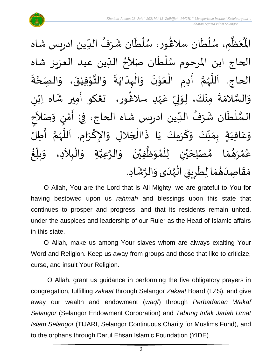

ْعَظَّمِ، سُلْطَان سلاڠُور، سُلْطَان شَرَفُ الدِّين ادريس شاه  $\frac{1}{1}$ ُ  $\frac{1}{2}$  $\ddot{\phantom{0}}$ ់<br>**រ** ُ<br>ُ )<br>ፌ  $\ddot{\phantom{0}}$ ؗ<br>ا ُ<br>ُ ِ<br>پا  $\frac{1}{2}$  $\mathbf{r}^{\circ}$ اْل الحاج ابن المرحوم سُلْطَان صَلاَحُ الدِّين عبد العزيز شاه ا<br>ا <sup>}</sup> ।<br>र ا<br>أح ا<br>ا ر<br>م  $\ddot{\cdot}$ الحاج. اَللَّهُمَّ أَدِمِ الْعَوْنَ وَالْبِدَايَةَ وَالتَّوْفِيْقَ، وَالصِّحَّةَ **ี**<br>ร  $\tilde{\cdot}$  $\ddot{\phantom{0}}$ ْ י<br>י  $\frac{1}{2}$  $\tilde{\cdot}$  $\ddot{\cdot}$  $\ddot{\phantom{0}}$ ا<br>ا ِ<br>ا  $\tilde{\cdot}$  $\ddot{\phantom{0}}$ ֧֦֘  $\ddot{\phantom{0}}$ ْ ।<br>∕ ا<br>با ี<br>จ ر<br>ر<br>ر َ<br>أنا َ<br>آ ى<br>وَالسَّلامَةَ مِنْكَ، لِوَلِيِّ عَهْدِ سلاغُور، تعْكو أَمِير شَاه اِبْنِ ْ ្រ َ ر<br>پیدائشہ ٝ<br>ۣ<br>ؙ ِ<br>م ِّ ا<br>بر<br>: إ م<br>م ْ  $\ddot{\cdot}$  $\frac{1}{2}$ ن<br>سا<br>سا  $\frac{1}{2}$ ।<br>इ السُّلْطَان شَرَفُ الدِّين ادريس شاه الحاج، فِيْ أَمْنٍ وَصَلاَحٍ َ  $\tilde{\cdot}$ <u>رِ</u> י<br>י  $\ddot{\cdot}$ ֦֧֦֧֦֧֝<u>֦</u> ۔<br>' ُ  $\frac{1}{2}$ ⊺<br>⊱ ْ  $\frac{3}{2}$ َ وَعَافِيَةٍ بِمَنَّكَ وَكَرَمِكَ يَا ذَاالْجَلالِ وَالإِكْرَامِ. اَللَّهُمَّ أَطِلُ  $\tilde{\cdot}$ ِّ  $\frac{1}{2}$  $\frac{1}{2}$  $\frac{1}{2}$  $\frac{1}{1}$ ِ<br>م  $\tilde{\cdot}$ ا<br>:<br>: ี<br>ั .<br>پر<br>پر ب<br>آن<br>ا  $\overline{\phantom{a}}$ ।<br>।<br>। ا<br>د  $\ddot{\ }$  $\overline{\phantom{a}}$ ֦֧֦֧֦֧֦֧֦֧֦֧֧֝֝֜֓֓<u>֚</u>  $\ddot{\cdot}$  $\frac{1}{2}$ ້<br>: غ ِّبِ  $\frac{1}{2}$ بلّ  $\ddot{\ }$ عُمْرَهُمَا مُصْلِحَيْنِ لِلْمُوَظَّفِيْنَ وَالرَّعِيَّةِ وَالْبِلاَدِ، وَ  $\sim$ ֦֧֦֧֦֧֦֧֦֧֝<u>֦֖֚</u> م<br>م َ ہ<br>د ์ $\frac{1}{2}$  $\ddot{\phantom{0}}$ ْ ِ<br>پا  $\ddot{\ }$ ๋<br>ጎ ؗ<br>ا ់<br>រ ي  $\overline{\phantom{a}}$  $\frac{1}{2}$  $\frac{1}{2}$ ر<br>پر ់<br>។ ر<br>م مَقَاصِدَهُمَا لِطَرِيقِ الْهُدَى وَالرَّشَادِ. '<br>-<br>\*  $\tilde{\cdot}$  $\frac{1}{1}$ ر<br>ر<br>ر ֧֦֧֦ ة<br>و <u>ر</u>  $\tilde{\cdot}$  $\frac{1}{2}$  $\frac{1}{2}$  $\frac{1}{1}$  $\frac{1}{2}$  $\frac{1}{2}$ 

O Allah, You are the Lord that is All Mighty, we are grateful to You for having bestowed upon us *rahmah* and blessings upon this state that continues to prosper and progress, and that its residents remain united, under the auspices and leadership of our Ruler as the Head of Islamic affairs in this state.

O Allah, make us among Your slaves whom are always exalting Your Word and Religion. Keep us away from groups and those that like to criticize, curse, and insult Your Religion.

O Allah, grant us guidance in performing the five obligatory prayers in congregation, fulfilling *zakaat* through Selangor *Zakaat* Board (LZS), and give away our wealth and endowment (*waqf*) through *Perbadanan Wakaf Selangor* (Selangor Endowment Corporation) and *Tabung Infak Jariah Umat Islam Selangor* (TIJARI, Selangor Continuous Charity for Muslims Fund), and to the orphans through Darul Ehsan Islamic Foundation (YIDE).

9